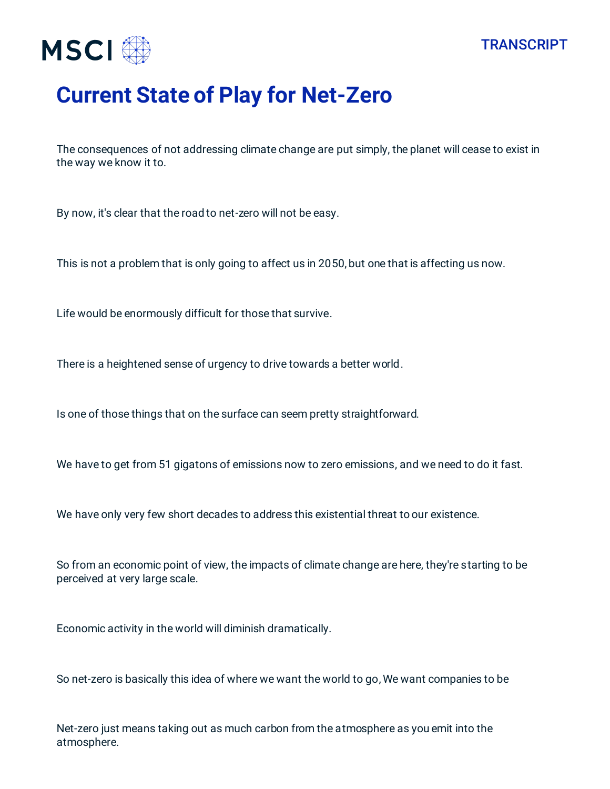



## **Current State of Play for Net-Zero**

The consequences of not addressing climate change are put simply, the planet will cease to exist in the way we know it to.

By now, it's clear that the road to net-zero will not be easy.

This is not a problem that is only going to affect us in 2050, but one that is affecting us now.

Life would be enormously difficult for those that survive.

There is a heightened sense of urgency to drive towards a better world.

Is one of those things that on the surface can seem pretty straightforward.

We have to get from 51 gigatons of emissions now to zero emissions, and we need to do it fast.

We have only very few short decades to address this existential threat to our existence.

So from an economic point of view, the impacts of climate change are here, they're starting to be perceived at very large scale.

Economic activity in the world will diminish dramatically.

So net-zero is basically this idea of where we want the world to go, We want companies to be

Net-zero just means taking out as much carbon from the atmosphere as you emit into the atmosphere.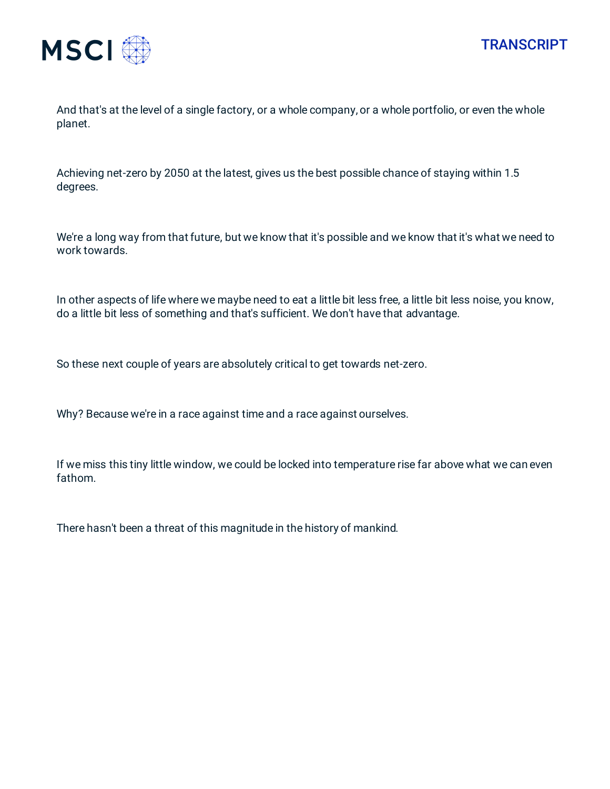



And that's at the level of a single factory, or a whole company, or a whole portfolio, or even the whole planet.

Achieving net-zero by 2050 at the latest, gives us the best possible chance of staying within 1.5 degrees.

We're a long way from that future, but we know that it's possible and we know that it's what we need to work towards.

In other aspects of life where we maybe need to eat a little bit less free, a little bit less noise, you know, do a little bit less of something and that's sufficient. We don't have that advantage.

So these next couple of years are absolutely critical to get towards net-zero.

Why? Because we're in a race against time and a race against ourselves.

If we miss this tiny little window, we could be locked into temperature rise far above what we can even fathom.

There hasn't been a threat of this magnitude in the history of mankind.